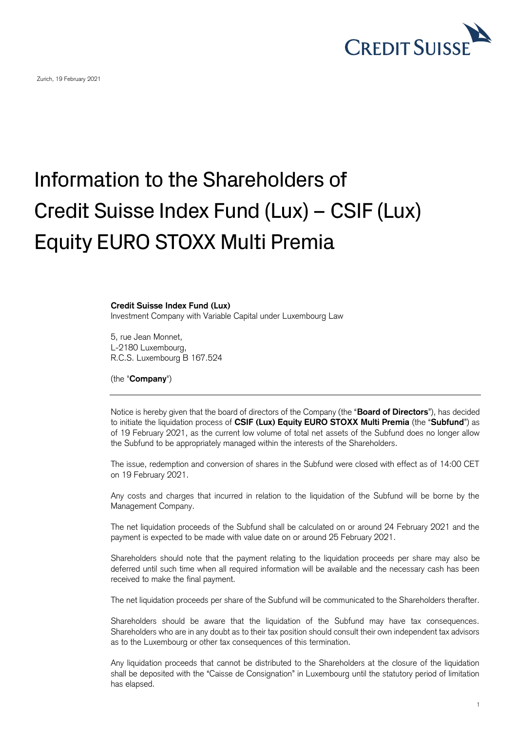

Zurich, 19 February 2021

## Information to the Shareholders of Credit Suisse Index Fund (Lux) – CSIF (Lux) Equity EURO STOXX Multi Premia

## **Credit Suisse Index Fund (Lux)**

Investment Company with Variable Capital under Luxembourg Law

5, rue Jean Monnet, L-2180 Luxembourg, R.C.S. Luxembourg B 167.524

(the "**Company**")

Notice is hereby given that the board of directors of the Company (the "**Board of Directors**"), has decided to initiate the liquidation process of **CSIF (Lux) Equity EURO STOXX Multi Premia** (the "**Subfund**") as of 19 February 2021, as the current low volume of total net assets of the Subfund does no longer allow the Subfund to be appropriately managed within the interests of the Shareholders.

The issue, redemption and conversion of shares in the Subfund were closed with effect as of 14:00 CET on 19 February 2021.

Any costs and charges that incurred in relation to the liquidation of the Subfund will be borne by the Management Company.

The net liquidation proceeds of the Subfund shall be calculated on or around 24 February 2021 and the payment is expected to be made with value date on or around 25 February 2021.

Shareholders should note that the payment relating to the liquidation proceeds per share may also be deferred until such time when all required information will be available and the necessary cash has been received to make the final payment.

The net liquidation proceeds per share of the Subfund will be communicated to the Shareholders therafter.

Shareholders should be aware that the liquidation of the Subfund may have tax consequences. Shareholders who are in any doubt as to their tax position should consult their own independent tax advisors as to the Luxembourg or other tax consequences of this termination.

Any liquidation proceeds that cannot be distributed to the Shareholders at the closure of the liquidation shall be deposited with the "Caisse de Consignation" in Luxembourg until the statutory period of limitation has elapsed.